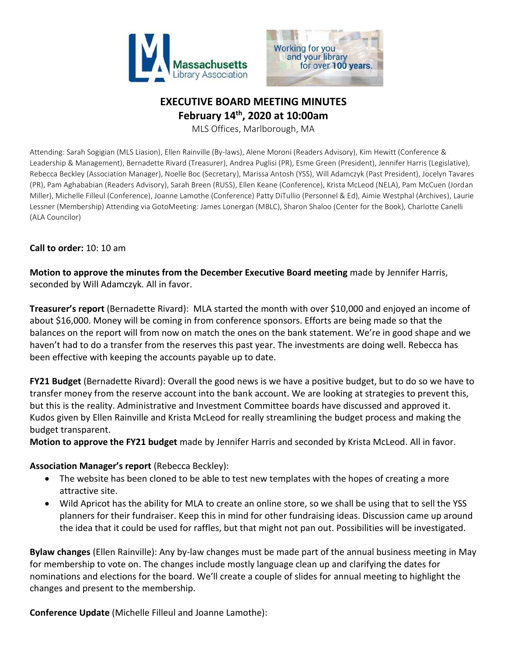



# **EXECUTIVE BOARD MEETING MINUTES February 14th, 2020 at 10:00am**

MLS Offices, Marlborough, MA

Attending: Sarah Sogigian (MLS Liasion), Ellen Rainville (By-laws), Alene Moroni (Readers Advisory), Kim Hewitt (Conference & Leadership & Management), Bernadette Rivard (Treasurer), Andrea Puglisi (PR), Esme Green (President), Jennifer Harris (Legislative), Rebecca Beckley (Association Manager), Noelle Boc (Secretary), Marissa Antosh (YSS), Will Adamczyk (Past President), Jocelyn Tavares (PR), Pam Aghababian (Readers Advisory), Sarah Breen (RUSS), Ellen Keane (Conference), Krista McLeod (NELA), Pam McCuen (Jordan Miller), Michelle Filleul (Conference), Joanne Lamothe (Conference) Patty DiTullio (Personnel & Ed), Aimie Westphal (Archives), Laurie Lessner (Membership) Attending via GotoMeeting: James Lonergan (MBLC), Sharon Shaloo (Center for the Book), Charlotte Canelli (ALA Councilor)

### **Call to order:** 10: 10 am

**Motion to approve the minutes from the December Executive Board meeting** made by Jennifer Harris, seconded by Will Adamczyk. All in favor.

**Treasurer's report** (Bernadette Rivard): MLA started the month with over \$10,000 and enjoyed an income of about \$16,000. Money will be coming in from conference sponsors. Efforts are being made so that the balances on the report will from now on match the ones on the bank statement. We're in good shape and we haven't had to do a transfer from the reserves this past year. The investments are doing well. Rebecca has been effective with keeping the accounts payable up to date.

**FY21 Budget** (Bernadette Rivard): Overall the good news is we have a positive budget, but to do so we have to transfer money from the reserve account into the bank account. We are looking at strategies to prevent this, but this is the reality. Administrative and Investment Committee boards have discussed and approved it. Kudos given by Ellen Rainville and Krista McLeod for really streamlining the budget process and making the budget transparent.

**Motion to approve the FY21 budget** made by Jennifer Harris and seconded by Krista McLeod. All in favor.

### **Association Manager's report** (Rebecca Beckley):

- The website has been cloned to be able to test new templates with the hopes of creating a more attractive site.
- Wild Apricot has the ability for MLA to create an online store, so we shall be using that to sell the YSS planners for their fundraiser. Keep this in mind for other fundraising ideas. Discussion came up around the idea that it could be used for raffles, but that might not pan out. Possibilities will be investigated.

**Bylaw changes** (Ellen Rainville): Any by-law changes must be made part of the annual business meeting in May for membership to vote on. The changes include mostly language clean up and clarifying the dates for nominations and elections for the board. We'll create a couple of slides for annual meeting to highlight the changes and present to the membership.

**Conference Update** (Michelle Filleul and Joanne Lamothe):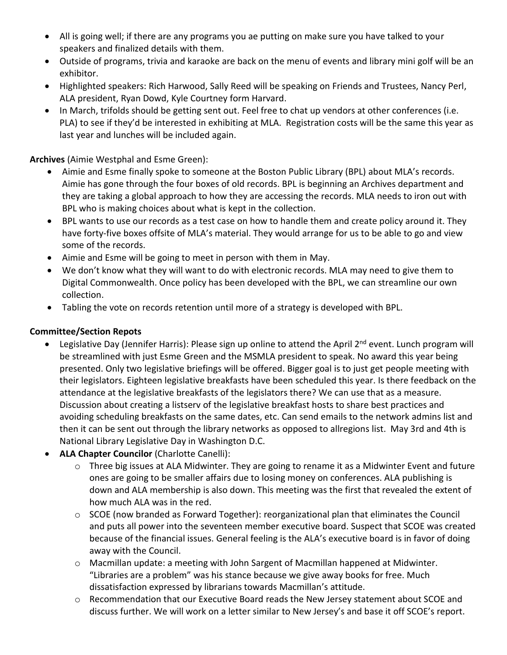- All is going well; if there are any programs you ae putting on make sure you have talked to your speakers and finalized details with them.
- Outside of programs, trivia and karaoke are back on the menu of events and library mini golf will be an exhibitor.
- Highlighted speakers: Rich Harwood, Sally Reed will be speaking on Friends and Trustees, Nancy Perl, ALA president, Ryan Dowd, Kyle Courtney form Harvard.
- In March, trifolds should be getting sent out. Feel free to chat up vendors at other conferences (i.e. PLA) to see if they'd be interested in exhibiting at MLA. Registration costs will be the same this year as last year and lunches will be included again.

**Archives** (Aimie Westphal and Esme Green):

- Aimie and Esme finally spoke to someone at the Boston Public Library (BPL) about MLA's records. Aimie has gone through the four boxes of old records. BPL is beginning an Archives department and they are taking a global approach to how they are accessing the records. MLA needs to iron out with BPL who is making choices about what is kept in the collection.
- BPL wants to use our records as a test case on how to handle them and create policy around it. They have forty-five boxes offsite of MLA's material. They would arrange for us to be able to go and view some of the records.
- Aimie and Esme will be going to meet in person with them in May.
- We don't know what they will want to do with electronic records. MLA may need to give them to Digital Commonwealth. Once policy has been developed with the BPL, we can streamline our own collection.
- Tabling the vote on records retention until more of a strategy is developed with BPL.

## **Committee/Section Repots**

- Legislative Day (Jennifer Harris): Please sign up online to attend the April 2<sup>nd</sup> event. Lunch program will be streamlined with just Esme Green and the MSMLA president to speak. No award this year being presented. Only two legislative briefings will be offered. Bigger goal is to just get people meeting with their legislators. Eighteen legislative breakfasts have been scheduled this year. Is there feedback on the attendance at the legislative breakfasts of the legislators there? We can use that as a measure. Discussion about creating a listserv of the legislative breakfast hosts to share best practices and avoiding scheduling breakfasts on the same dates, etc. Can send emails to the network admins list and then it can be sent out through the library networks as opposed to allregions list. May 3rd and 4th is National Library Legislative Day in Washington D.C.
- **ALA Chapter Councilor** (Charlotte Canelli):
	- o Three big issues at ALA Midwinter. They are going to rename it as a Midwinter Event and future ones are going to be smaller affairs due to losing money on conferences. ALA publishing is down and ALA membership is also down. This meeting was the first that revealed the extent of how much ALA was in the red.
	- o SCOE (now branded as Forward Together): reorganizational plan that eliminates the Council and puts all power into the seventeen member executive board. Suspect that SCOE was created because of the financial issues. General feeling is the ALA's executive board is in favor of doing away with the Council.
	- o Macmillan update: a meeting with John Sargent of Macmillan happened at Midwinter. "Libraries are a problem" was his stance because we give away books for free. Much dissatisfaction expressed by librarians towards Macmillan's attitude.
	- o Recommendation that our Executive Board reads the New Jersey statement about SCOE and discuss further. We will work on a letter similar to New Jersey's and base it off SCOE's report.